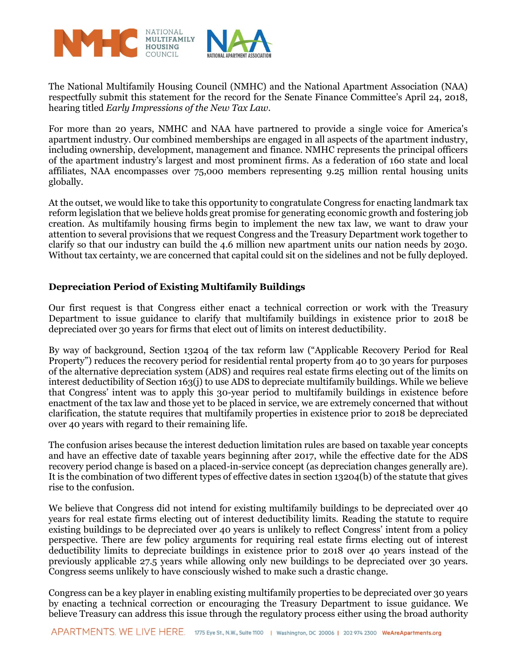

The National Multifamily Housing Council (NMHC) and the National Apartment Association (NAA) respectfully submit this statement for the record for the Senate Finance Committee's April 24, 2018, hearing titled *Early Impressions of the New Tax Law.* 

For more than 20 years, NMHC and NAA have partnered to provide a single voice for America's apartment industry. Our combined memberships are engaged in all aspects of the apartment industry, including ownership, development, management and finance. NMHC represents the principal officers of the apartment industry's largest and most prominent firms. As a federation of 160 state and local affiliates, NAA encompasses over 75,000 members representing 9.25 million rental housing units globally.

At the outset, we would like to take this opportunity to congratulate Congress for enacting landmark tax reform legislation that we believe holds great promise for generating economic growth and fostering job creation. As multifamily housing firms begin to implement the new tax law, we want to draw your attention to several provisions that we request Congress and the Treasury Department work together to clarify so that our industry can build the 4.6 million new apartment units our nation needs by 2030. Without tax certainty, we are concerned that capital could sit on the sidelines and not be fully deployed.

## **Depreciation Period of Existing Multifamily Buildings**

Our first request is that Congress either enact a technical correction or work with the Treasury Department to issue guidance to clarify that multifamily buildings in existence prior to 2018 be depreciated over 30 years for firms that elect out of limits on interest deductibility.

By way of background, Section 13204 of the tax reform law ("Applicable Recovery Period for Real Property") reduces the recovery period for residential rental property from 40 to 30 years for purposes of the alternative depreciation system (ADS) and requires real estate firms electing out of the limits on interest deductibility of Section 163(j) to use ADS to depreciate multifamily buildings. While we believe that Congress' intent was to apply this 30-year period to multifamily buildings in existence before enactment of the tax law and those yet to be placed in service, we are extremely concerned that without clarification, the statute requires that multifamily properties in existence prior to 2018 be depreciated over 40 years with regard to their remaining life.

The confusion arises because the interest deduction limitation rules are based on taxable year concepts and have an effective date of taxable years beginning after 2017, while the effective date for the ADS recovery period change is based on a placed-in-service concept (as depreciation changes generally are). It is the combination of two different types of effective dates in section 13204(b) of the statute that gives rise to the confusion.

We believe that Congress did not intend for existing multifamily buildings to be depreciated over 40 years for real estate firms electing out of interest deductibility limits. Reading the statute to require existing buildings to be depreciated over 40 years is unlikely to reflect Congress' intent from a policy perspective. There are few policy arguments for requiring real estate firms electing out of interest deductibility limits to depreciate buildings in existence prior to 2018 over 40 years instead of the previously applicable 27.5 years while allowing only new buildings to be depreciated over 30 years. Congress seems unlikely to have consciously wished to make such a drastic change.

Congress can be a key player in enabling existing multifamily properties to be depreciated over 30 years by enacting a technical correction or encouraging the Treasury Department to issue guidance. We believe Treasury can address this issue through the regulatory process either using the broad authority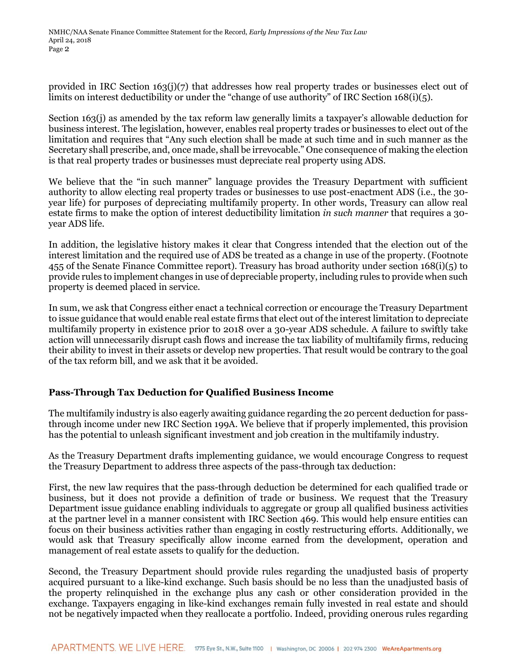provided in IRC Section 163(j)(7) that addresses how real property trades or businesses elect out of limits on interest deductibility or under the "change of use authority" of IRC Section 168(i)(5).

Section 163(j) as amended by the tax reform law generally limits a taxpayer's allowable deduction for business interest. The legislation, however, enables real property trades or businesses to elect out of the limitation and requires that "Any such election shall be made at such time and in such manner as the Secretary shall prescribe, and, once made, shall be irrevocable." One consequence of making the election is that real property trades or businesses must depreciate real property using ADS.

We believe that the "in such manner" language provides the Treasury Department with sufficient authority to allow electing real property trades or businesses to use post-enactment ADS (i.e., the 30 year life) for purposes of depreciating multifamily property. In other words, Treasury can allow real estate firms to make the option of interest deductibility limitation *in such manner* that requires a 30 year ADS life.

In addition, the legislative history makes it clear that Congress intended that the election out of the interest limitation and the required use of ADS be treated as a change in use of the property. (Footnote 455 of the Senate Finance Committee report). Treasury has broad authority under section 168(i)(5) to provide rules to implement changes in use of depreciable property, including rules to provide when such property is deemed placed in service.

In sum, we ask that Congress either enact a technical correction or encourage the Treasury Department to issue guidance that would enable real estate firms that elect out of the interest limitation to depreciate multifamily property in existence prior to 2018 over a 30-year ADS schedule. A failure to swiftly take action will unnecessarily disrupt cash flows and increase the tax liability of multifamily firms, reducing their ability to invest in their assets or develop new properties. That result would be contrary to the goal of the tax reform bill, and we ask that it be avoided.

## **Pass-Through Tax Deduction for Qualified Business Income**

The multifamily industry is also eagerly awaiting guidance regarding the 20 percent deduction for passthrough income under new IRC Section 199A. We believe that if properly implemented, this provision has the potential to unleash significant investment and job creation in the multifamily industry.

As the Treasury Department drafts implementing guidance, we would encourage Congress to request the Treasury Department to address three aspects of the pass-through tax deduction:

First, the new law requires that the pass-through deduction be determined for each qualified trade or business, but it does not provide a definition of trade or business. We request that the Treasury Department issue guidance enabling individuals to aggregate or group all qualified business activities at the partner level in a manner consistent with IRC Section 469. This would help ensure entities can focus on their business activities rather than engaging in costly restructuring efforts. Additionally, we would ask that Treasury specifically allow income earned from the development, operation and management of real estate assets to qualify for the deduction.

Second, the Treasury Department should provide rules regarding the unadjusted basis of property acquired pursuant to a like-kind exchange. Such basis should be no less than the unadjusted basis of the property relinquished in the exchange plus any cash or other consideration provided in the exchange. Taxpayers engaging in like-kind exchanges remain fully invested in real estate and should not be negatively impacted when they reallocate a portfolio. Indeed, providing onerous rules regarding